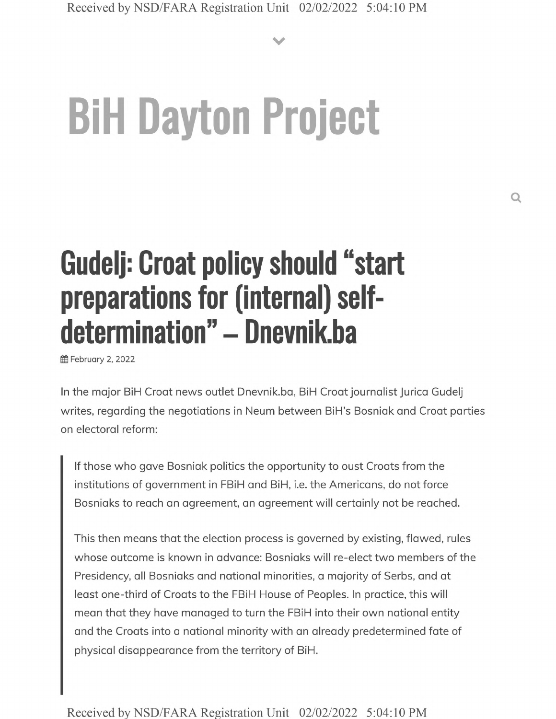**V**

# **BiH Dayton Project**

## **Gudelj: Croat policy should "start preparations for (internal) selfdetermination" - Dnevnik.ba**

**曲 February 2, 2022** 

In the major BiH Croat news outlet Dnevnik.ba, BiH Croat journalist Jurica Gudelj writes, regarding the negotiations in Neum between BiH's Bosniakand Croat parties on electoral reform:

If those who gave Bosniak politics the opportunity to oust Croats from the institutions of government in FBiH and BiH, i.e. the Americans, do not force Bosniaks to reach an agreement, an agreement will certainly not be reached.

This then means that the election process is governed by existing, flawed, rules whose outcome is known in advance: Bosniaks will re-elect two members of the Presidency, all Bosniaks and national minorities, a majority of Serbs, and at least one-third of Croats to the FBiH House of Peoples. In practice, this will mean that they have managed to turn the FBiH into their own national entity and the Croats into a national minority with an already predetermined fate of physical disappearance from the territory of BiH.

Received by NSD/FARA Registration Unit 02/02/2022 5:04:10 PM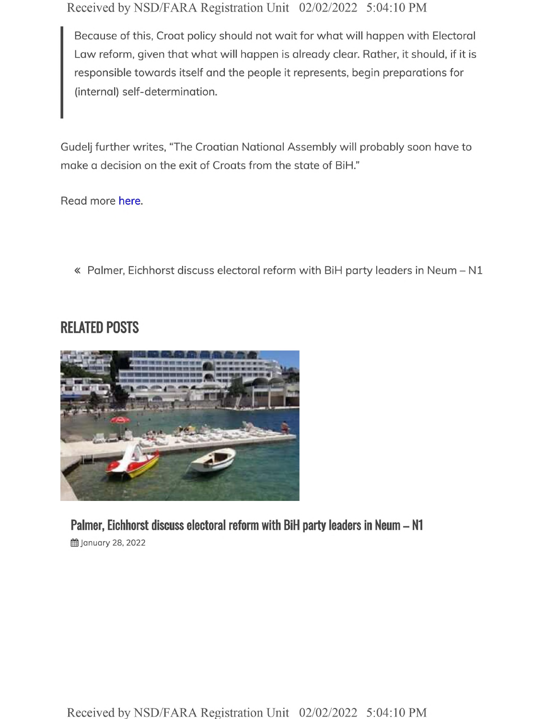Received by NSD/FARA Registration Unit 02/02/2022 5:04:10 PM

Because of this, Croat policy should not wait for what will happen with Electoral Law reform, given that what will happen is already clear. Rather, it should, if it is responsible towards itself and the people it represents, begin preparations for (internal) self-determination.

Gudelj further writes, "The Croatian National Assembly will probably soon have to make a decision on the exit of Croats from the state of BiH."

Read more here.

« Palmer, Eichhorst discuss electoral reform with BiH party leaders in Neum - N1

#### **RELATED POSTS**



**Palmer, Eichhorst discuss electoral reform with BiH party leaders in Neum - N1 的January 28, 2022**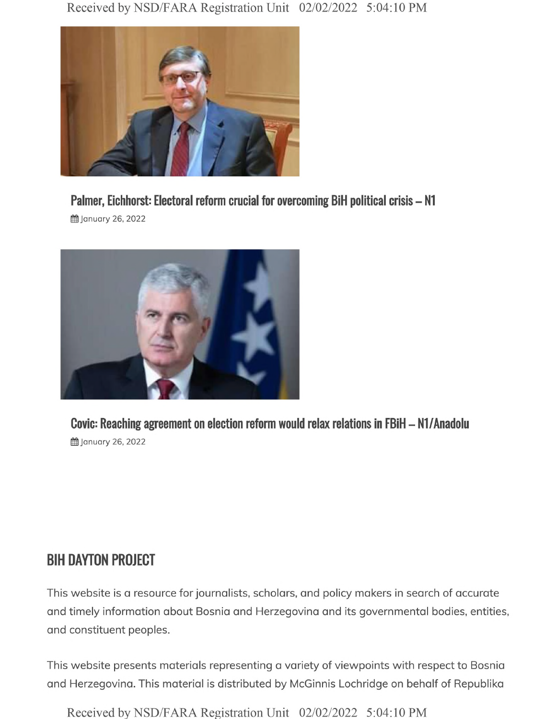

### *.* **Palmer, Eichhorst: Electoral reform crucial for overcoming BiH political crisis - N1**

**曲 January 26, 2022** 



**的January 26, 2022** 

#### **BIH DAYTON PROJECT**

This website is a resource for journalists, scholars, and policy makers in search of accurate and timely information about Bosnia and Herzegovina and its governmental bodies, entities, and constituent peoples.

This website presents materials representing a variety of viewpoints with respect to Bosnia and Herzegovina. This material is distributed by McGinnis Lochridge on behalf of Republika

Received by NSD/FARA Registration Unit 02/02/2022 5:04:10 PM